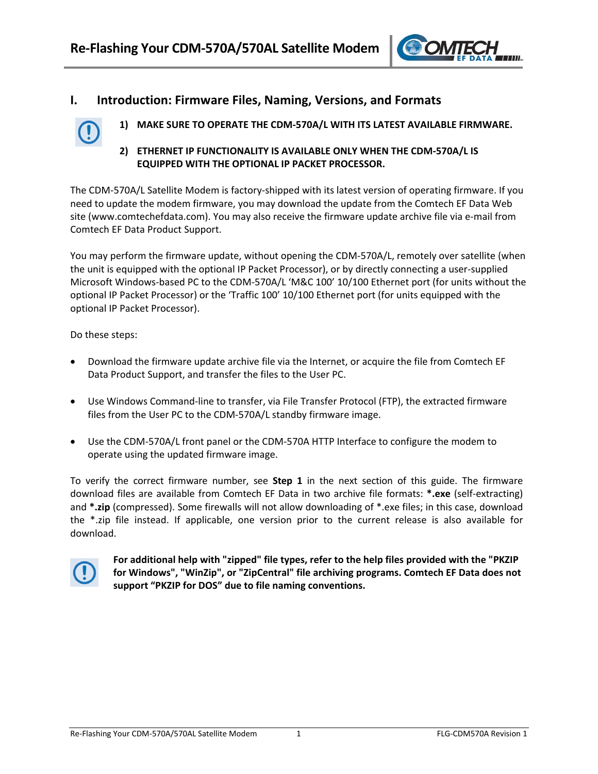

# **I. Introduction: Firmware Files, Naming, Versions, and Formats**

- **1) MAKE SURE TO OPERATE THE CDM‐570A/L WITH ITS LATEST AVAILABLE FIRMWARE.**
- **2) ETHERNET IP FUNCTIONALITY IS AVAILABLE ONLY WHEN THE CDM‐570A/L IS EQUIPPED WITH THE OPTIONAL IP PACKET PROCESSOR.**

The CDM‐570A/L Satellite Modem is factory‐shipped with its latest version of operating firmware. If you need to update the modem firmware, you may download the update from the Comtech EF Data Web site (www.comtechefdata.com). You may also receive the firmware update archive file via e‐mail from Comtech EF Data Product Support.

You may perform the firmware update, without opening the CDM‐570A/L, remotely over satellite (when the unit is equipped with the optional IP Packet Processor), or by directly connecting a user‐supplied Microsoft Windows‐based PC to the CDM‐570A/L 'M&C 100' 10/100 Ethernet port (for units without the optional IP Packet Processor) or the 'Traffic 100' 10/100 Ethernet port (for units equipped with the optional IP Packet Processor).

Do these steps:

- Download the firmware update archive file via the Internet, or acquire the file from Comtech EF Data Product Support, and transfer the files to the User PC.
- Use Windows Command-line to transfer, via File Transfer Protocol (FTP), the extracted firmware files from the User PC to the CDM‐570A/L standby firmware image.
- Use the CDM‐570A/L front panel or the CDM‐570A HTTP Interface to configure the modem to operate using the updated firmware image.

To verify the correct firmware number, see **Step 1** in the next section of this guide. The firmware download files are available from Comtech EF Data in two archive file formats: **\*.exe** (self‐extracting) and **\*.zip** (compressed). Some firewalls will not allow downloading of \*.exe files; in this case, download the \*.zip file instead. If applicable, one version prior to the current release is also available for download.



**For additional help with "zipped" file types, refer to the help files provided with the "PKZIP for Windows", "WinZip", or "ZipCentral" file archiving programs. Comtech EF Data does not support "PKZIP for DOS" due to file naming conventions.**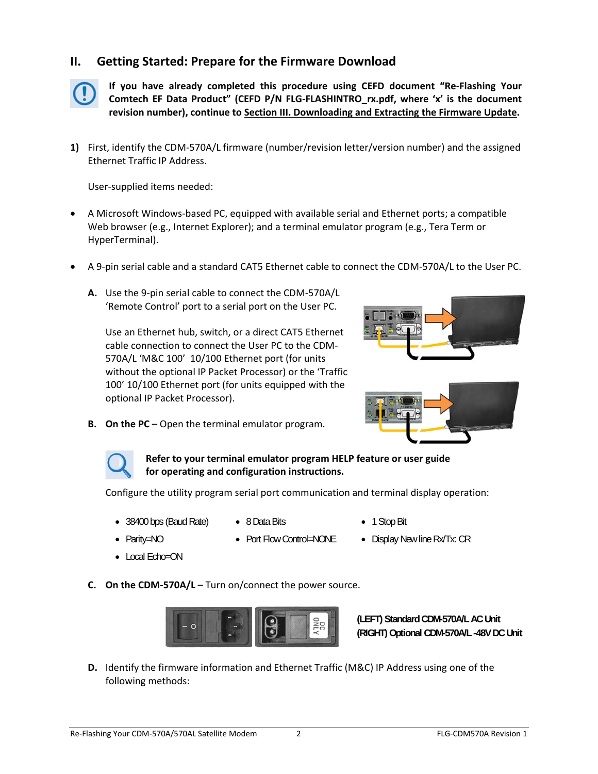## **II. Getting Started: Prepare for the Firmware Download**



**If you have already completed this procedure using CEFD document "Re‐Flashing Your Comtech EF Data Product" (CEFD P/N FLG‐FLASHINTRO\_rx.pdf, where 'x' is the document revision number), continue to Section III. Downloading and Extracting the Firmware Update.**

**1)** First, identify the CDM‐570A/L firmware (number/revision letter/version number) and the assigned Ethernet Traffic IP Address.

User‐supplied items needed:

- A Microsoft Windows‐based PC, equipped with available serial and Ethernet ports; a compatible Web browser (e.g., Internet Explorer); and a terminal emulator program (e.g., Tera Term or HyperTerminal).
- A 9‐pin serial cable and a standard CAT5 Ethernet cable to connect the CDM‐570A/L to the User PC.
	- **A.** Use the 9‐pin serial cable to connect the CDM‐570A/L 'Remote Control' port to a serial port on the User PC.

Use an Ethernet hub, switch, or a direct CAT5 Ethernet cable connection to connect the User PC to the CDM‐ 570A/L 'M&C 100' 10/100 Ethernet port (for units without the optional IP Packet Processor) or the 'Traffic 100' 10/100 Ethernet port (for units equipped with the optional IP Packet Processor).



**B. On the PC** – Open the terminal emulator program.



#### **Refer to your terminal emulator program HELP feature or user guide for operating and configuration instructions.**

Configure the utility program serial port communication and terminal display operation:

- 38400 bps (Baud Rate) 8 Data Bits 1 Stop Bit
- 
- 
- 
- 
- 

• Local Echo=ON

- Parity=NO Port Flow Control=NONE Display New line Rx/Tx: CR
- 

- 
- **C. On the CDM‐570A/L** Turn on/connect the power source.



**(LEFT) Standard CDM-570A/L AC Unit (RIGHT) Optional CDM-570A/L -48V DC Unit** 

**D.** Identify the firmware information and Ethernet Traffic (M&C) IP Address using one of the following methods: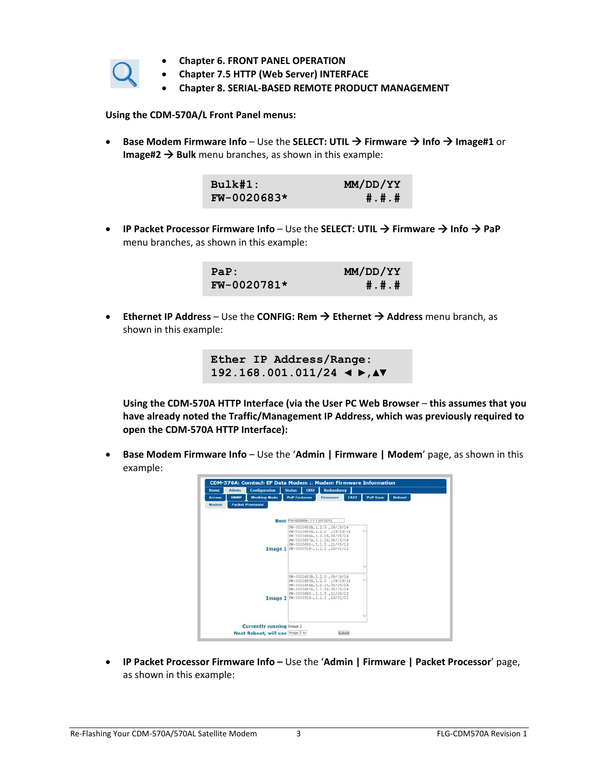

- **Chapter 6. FRONT PANEL OPERATION**
- **Chapter 7.5 HTTP (Web Server) INTERFACE**
- **Chapter 8. SERIAL‐BASED REMOTE PRODUCT MANAGEMENT**

**Using the CDM‐570A/L Front Panel menus:**

 **Base Modem Firmware Info** – Use the **SELECT: UTIL Firmware Info Image#1** or **Image#2**  $\rightarrow$  Bulk menu branches, as shown in this example:

| Bulk#1:       | MM/DD/YY |
|---------------|----------|
| $FW-0020683*$ | #.#.#    |

 **IP Packet Processor Firmware Info** – Use the **SELECT: UTIL Firmware Info PaP** menu branches, as shown in this example:

| PaP:          | MM/DD/YY |
|---------------|----------|
| $FW-0020781*$ | #.#.#    |

 **Ethernet IP Address** – Use the **CONFIG: Rem Ethernet Address** menu branch, as shown in this example:

> **Ether IP Address/Range: 192.168.001.011/24 ◄ ►,▲▼**

**Using the CDM‐570A HTTP Interface (via the User PC Web Browser** – **this assumes that you have already noted the Traffic/Management IP Address, which was previously required to open the CDM‐570A HTTP Interface):**

 **Base Modem Firmware Info** – Use the '**Admin | Firmware | Modem**' page, as shown in this example:



 **IP Packet Processor Firmware Info –** Use the '**Admin | Firmware | Packet Processor**' page, as shown in this example: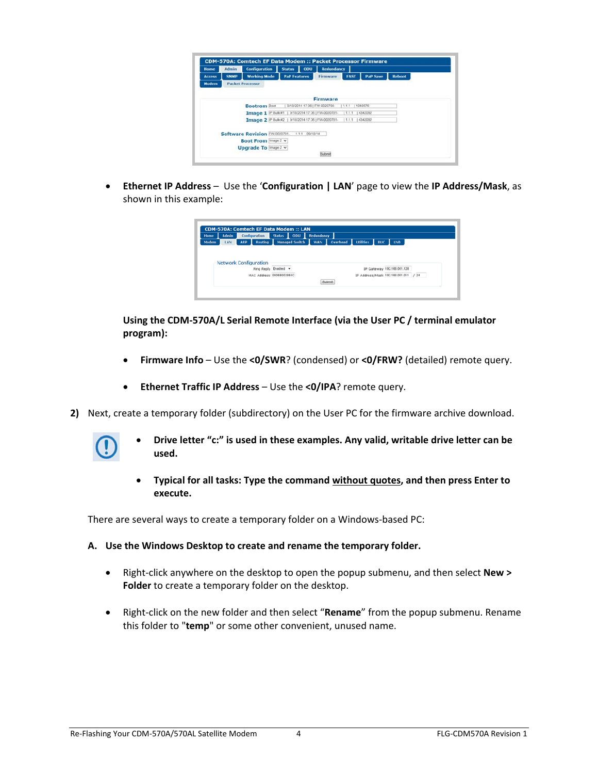| Home          | <b>Admin</b> | <b>Configuration</b>                                     | <b>Status</b>       | opu | <b>Redundancy</b>             |             |                 |               |
|---------------|--------------|----------------------------------------------------------|---------------------|-----|-------------------------------|-------------|-----------------|---------------|
| <b>Access</b> | <b>SNMP</b>  | <b>Working Mode</b>                                      | <b>PaP Features</b> |     | <b>Firmware</b>               | <b>FAST</b> | <b>PaP Save</b> | <b>Reboot</b> |
| Modem         |              | <b>Packet Processor</b>                                  |                     |     |                               |             |                 |               |
|               |              |                                                          |                     |     |                               |             |                 |               |
|               |              |                                                          |                     |     | <b>Firmware</b>               |             |                 |               |
|               |              | <b>Bootrom Boot</b>                                      |                     |     | 9/18/2014 17:36   FW-0020788- | 1.1.1       | 11048576        |               |
|               |              | Tmage 1 IP Bulk #1   9/18/2014 17:36   FW-0020781-       |                     |     |                               | 11.1.1      | 4342092         |               |
|               |              | Tmage 2 P Buk #2   9/18/2014 17:36   FW-0020781-   1.1.1 |                     |     |                               |             | 4342092         |               |
|               |              |                                                          |                     |     |                               |             |                 |               |
|               |              | Software Revision FW-0020781- 111 09/18/14               |                     |     |                               |             |                 |               |
|               |              | Boot From Image 2 v                                      |                     |     |                               |             |                 |               |
|               |              | Upgrade To Image 2 v                                     |                     |     |                               |             |                 |               |
|               |              |                                                          |                     |     | Submit                        |             |                 |               |

 **Ethernet IP Address** – Use the '**Configuration | LAN**' page to view the **IP Address/Mask**, as shown in this example:

| <b>Home</b> | <b>Admin</b> | Configuration                | Status 0DU           | Redundancy                                       |
|-------------|--------------|------------------------------|----------------------|--------------------------------------------------|
| Modem       | LAN.         | <b>ARP</b><br>Routing        |                      | Managed Switch WAN Overhead Utilities<br>BUC LNB |
|             |              | <b>Network Configuration</b> |                      |                                                  |
|             |              |                              | Ping Reply Enabled v | IP Gateway 192.168.001.128                       |
|             |              | MAC Address 0006B002864C     |                      | IP Address/Mask 192.168.001.011 / 24             |
|             |              |                              |                      | <b>Submit</b>                                    |

**Using the CDM‐570A/L Serial Remote Interface (via the User PC / terminal emulator program):**

- **Firmware Info** Use the **<0/SWR**? (condensed) or **<0/FRW?** (detailed) remote query.
- **Ethernet Traffic IP Address** Use the **<0/IPA**? remote query.
- **2)** Next, create a temporary folder (subdirectory) on the User PC for the firmware archive download.
	-
- **Drive letter "c:" is used in these examples. Any valid, writable drive letter can be used.**
- **Typical for all tasks: Type the command without quotes, and then press Enter to execute.**

There are several ways to create a temporary folder on a Windows‐based PC:

- **A. Use the Windows Desktop to create and rename the temporary folder.**
	- Right‐click anywhere on the desktop to open the popup submenu, and then select **New > Folder** to create a temporary folder on the desktop.
	- Right-click on the new folder and then select "Rename" from the popup submenu. Rename this folder to "**temp**" or some other convenient, unused name.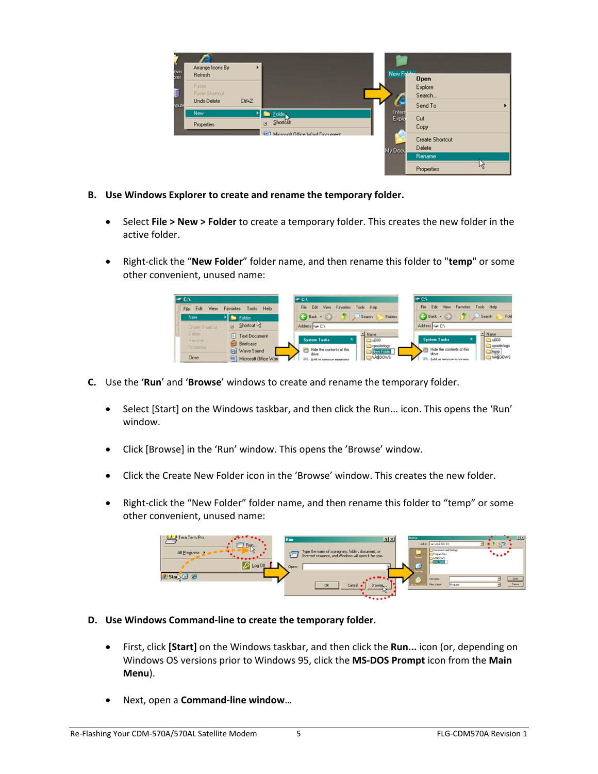| ows<br>orer | Arrange Icons By<br>Refresh |           |                                     | New For         | <b>Open</b>                      |   |
|-------------|-----------------------------|-----------|-------------------------------------|-----------------|----------------------------------|---|
|             | Paste<br>Paste Shortcut     |           |                                     |                 | Explore<br>Search                |   |
| npute       | Undo Delete<br>New          | $C$ trl+Z | <b>DE Folde</b>                     | Intern<br>Explo | Send To                          |   |
|             | Properties                  |           | Shortcut<br>$\Xi$                   |                 | Cut<br>Copy                      |   |
|             |                             |           | [82] Microsoft Office Word Document | My Docu         | <b>Create Shortcut</b><br>Delete |   |
|             |                             |           |                                     |                 | Rename<br>Properties             | M |

- **B. Use Windows Explorer to create and rename the temporary folder.**
	- Select **File > New > Folder** to create a temporary folder. This creates the new folder in the active folder.
	- Right‐click the "**New Folder**" folder name, and then rename this folder to "**temp**" or some other convenient, unused name:



- **C.** Use the '**Run**' and '**Browse**' windows to create and rename the temporary folder.
	- Select [Start] on the Windows taskbar, and then click the Run... icon. This opens the 'Run' window.
	- Click [Browse] in the 'Run' window. This opens the 'Browse' window.
	- Click the Create New Folder icon in the 'Browse' window. This creates the new folder.
	- Right-click the "New Folder" folder name, and then rename this folder to "temp" or some other convenient, unused name:



- **D. Use Windows Command‐line to create the temporary folder.**
	- First, click **[Start]** on the Windows taskbar, and then click the **Run...** icon (or, depending on Windows OS versions prior to Windows 95, click the **MS‐DOS Prompt** icon from the **Main Menu**).
	- Next, open a **Command‐line window**…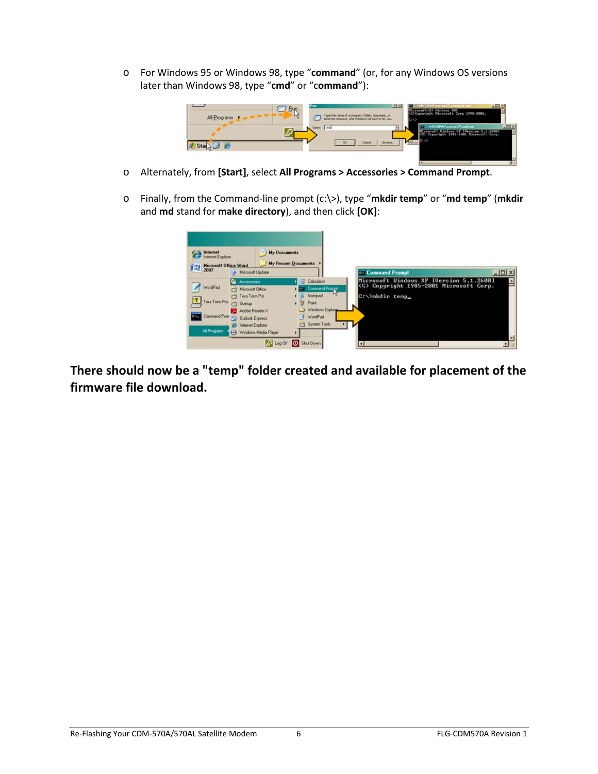o For Windows 95 or Windows 98, type "**command**" (or, for any Windows OS versions later than Windows 98, type "**cmd**" or "c**ommand**"):



- o Alternately, from **[Start]**, select **All Programs > Accessories > Command Prompt**.
- o Finally, from the Command‐line prompt (c:\>), type "**mkdir temp**" or "**md temp**" (**mkdir** and **md** stand for **make directory**), and then click **[OK]**:

| Internet<br>n<br>Internet Explorer<br>WE Microsoft Office Word | <b>My Documents</b><br>4. Microsoft Update                                                                                                                       | <b>My Recent Documents</b>                                                                                    |
|----------------------------------------------------------------|------------------------------------------------------------------------------------------------------------------------------------------------------------------|---------------------------------------------------------------------------------------------------------------|
| WordPad<br>T)<br>Tera Term Pro<br>Command Prom                 | Accessories<br>c<br><b>TTT</b> Microsoft Office<br>Tera Term Pro<br>$\Box$<br>Startup<br>Adobe Reader X<br>Call Outlook Express<br><b>Part Internet Explorer</b> | Calculator<br>cal Command Prorport<br>Notepad<br>Paint<br>• 38<br>Windows Explorer<br>WordPad<br>System Tools |
| All Programs                                                   | (-) Windows Media Player                                                                                                                                         | 2 Log Off O Shut Down                                                                                         |

**There should now be a "temp" folder created and available for placement of the firmware file download.**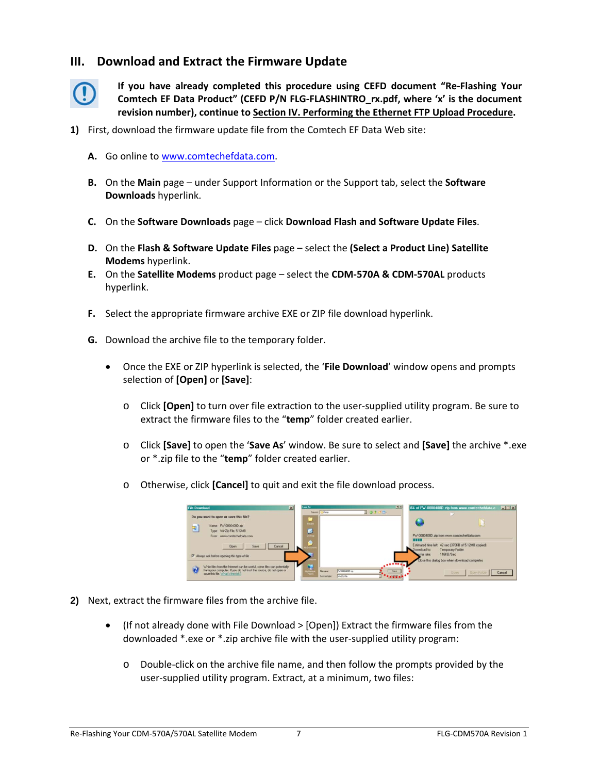### **III. Download and Extract the Firmware Update**



**If you have already completed this procedure using CEFD document "Re‐Flashing Your Comtech EF Data Product" (CEFD P/N FLG‐FLASHINTRO\_rx.pdf, where 'x' is the document revision number), continue to Section IV. Performing the Ethernet FTP Upload Procedure.**

- **1)** First, download the firmware update file from the Comtech EF Data Web site:
	- **A.** Go online to www.comtechefdata.com.
	- **B.** On the **Main** page under Support Information or the Support tab, select the **Software Downloads** hyperlink.
	- **C.** On the **Software Downloads** page click **Download Flash and Software Update Files**.
	- **D.** On the **Flash & Software Update Files** page select the **(Select a Product Line) Satellite Modems** hyperlink.
	- **E.** On the **Satellite Modems** product page select the **CDM‐570A & CDM‐570AL** products hyperlink.
	- **F.** Select the appropriate firmware archive EXE or ZIP file download hyperlink.
	- **G.** Download the archive file to the temporary folder.
		- Once the EXE or ZIP hyperlink is selected, the '**File Download**' window opens and prompts selection of **[Open]** or **[Save]**:
			- o Click **[Open]** to turn over file extraction to the user‐supplied utility program. Be sure to extract the firmware files to the "**temp**" folder created earlier.
			- o Click **[Save]** to open the '**Save As**' window. Be sure to select and **[Save]** the archive \*.exe or \*.zip file to the "**temp**" folder created earlier.
			- o Otherwise, click **[Cancel]** to quit and exit the file download process.



- **2)** Next, extract the firmware files from the archive file.
	- (If not already done with File Download > [Open]) Extract the firmware files from the downloaded \*.exe or \*.zip archive file with the user‐supplied utility program:
		- o Double‐click on the archive file name, and then follow the prompts provided by the user-supplied utility program. Extract, at a minimum, two files: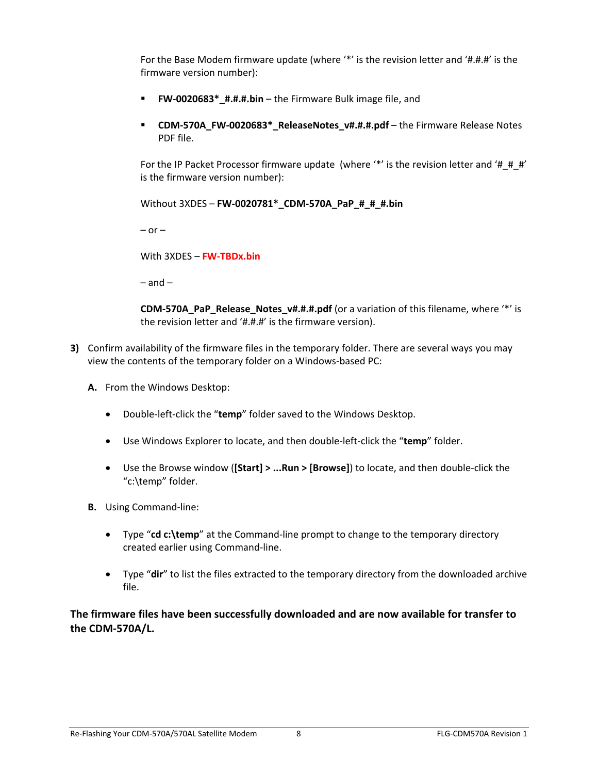For the Base Modem firmware update (where '\*' is the revision letter and '#.#.#' is the firmware version number):

- **FW‐0020683\*\_#.#.#.bin** the Firmware Bulk image file, and
- **CDM‐570A\_FW‐0020683\*\_ReleaseNotes\_v#.#.#.pdf** the Firmware Release Notes PDF file.

For the IP Packet Processor firmware update (where '\*' is the revision letter and '#\_#\_#' is the firmware version number):

```
Without 3XDES – FW‐0020781*_CDM‐570A_PaP_#_#_#.bin
```
 $-$  or  $-$ 

With 3XDES – **FW‐TBDx.bin**

 $-$  and  $-$ 

**CDM-570A\_PaP\_Release\_Notes\_v#.#.#.pdf** (or a variation of this filename, where '\*' is the revision letter and '#.#.#' is the firmware version).

- **3)** Confirm availability of the firmware files in the temporary folder. There are several ways you may view the contents of the temporary folder on a Windows‐based PC:
	- **A.** From the Windows Desktop:
		- Double-left-click the "temp" folder saved to the Windows Desktop.
		- Use Windows Explorer to locate, and then double-left-click the "temp" folder.
		- Use the Browse window (**[Start] > ...Run > [Browse]**) to locate, and then double‐click the "c:\temp" folder.
	- **B.** Using Command‐line:
		- Type "**cd c:\temp**" at the Command‐line prompt to change to the temporary directory created earlier using Command‐line.
		- Type "**dir**" to list the files extracted to the temporary directory from the downloaded archive file.

**The firmware files have been successfully downloaded and are now available for transfer to the CDM‐570A/L.**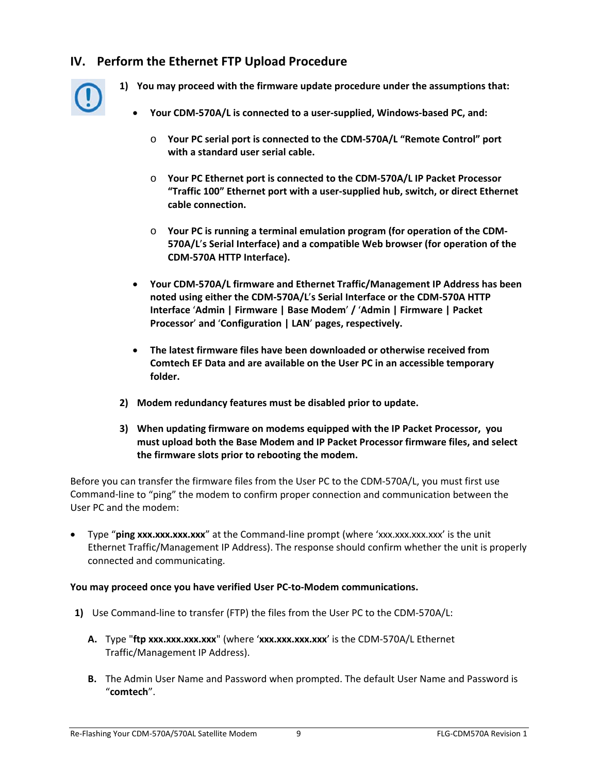# **IV. Perform the Ethernet FTP Upload Procedure**



- **1) You may proceed with the firmware update procedure under the assumptions that:**
	- **Your CDM‐570A/L is connected to a user‐supplied, Windows‐based PC, and:**
		- o **Your PC serial port is connected to the CDM‐570A/L "Remote Control" port with a standard user serial cable.**
		- o **Your PC Ethernet port is connected to the CDM‐570A/L IP Packet Processor "Traffic 100" Ethernet port with a user‐supplied hub, switch, or direct Ethernet cable connection.**
		- o **Your PC is running a terminal emulation program (for operation of the CDM‐ 570A/L**'**s Serial Interface) and a compatible Web browser (for operation of the CDM‐570A HTTP Interface).**
	- **Your CDM‐570A/L firmware and Ethernet Traffic/Management IP Address has been noted using either the CDM‐570A/L**'**s Serial Interface or the CDM‐570A HTTP Interface** '**Admin | Firmware | Base Modem**' **/** '**Admin | Firmware | Packet Processor**' **and** '**Configuration | LAN**' **pages, respectively.**
	- **The latest firmware files have been downloaded or otherwise received from Comtech EF Data and are available on the User PC in an accessible temporary folder.**
- **2) Modem redundancy features must be disabled prior to update.**
- **3) When updating firmware on modems equipped with the IP Packet Processor, you must upload both the Base Modem and IP Packet Processor firmware files, and select the firmware slots prior to rebooting the modem.**

Before you can transfer the firmware files from the User PC to the CDM‐570A/L, you must first use Command‐line to "ping" the modem to confirm proper connection and communication between the User PC and the modem:

 Type "**ping xxx.xxx.xxx.xxx**" at the Command‐line prompt (where 'xxx.xxx.xxx.xxx' is the unit Ethernet Traffic/Management IP Address). The response should confirm whether the unit is properly connected and communicating.

#### **You may proceed once you have verified User PC‐to‐Modem communications.**

- **1)** Use Command‐line to transfer (FTP) the files from the User PC to the CDM‐570A/L:
	- **A.** Type "**ftp xxx.xxx.xxx.xxx**" (where '**xxx.xxx.xxx.xxx**' is the CDM‐570A/L Ethernet Traffic/Management IP Address).
	- **B.** The Admin User Name and Password when prompted. The default User Name and Password is "**comtech**".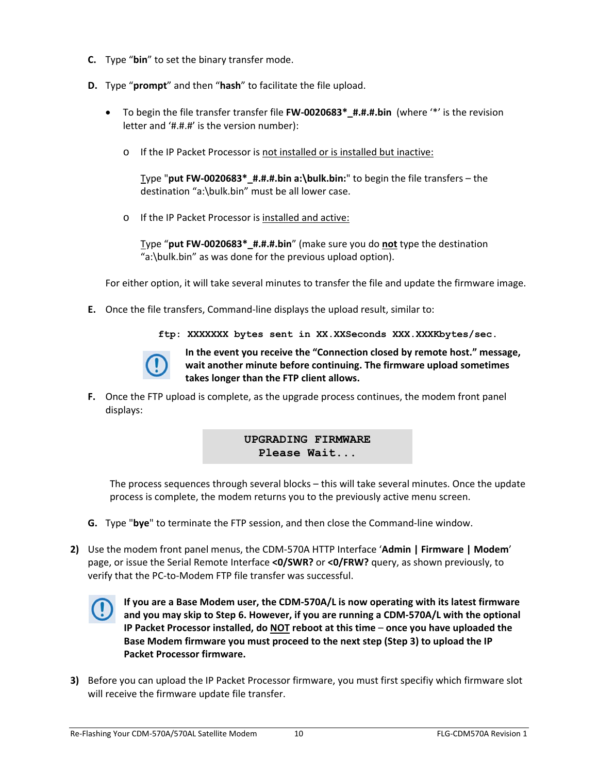- **C.** Type "**bin**" to set the binary transfer mode.
- **D.** Type "**prompt**" and then "**hash**" to facilitate the file upload.
	- To begin the file transfer transfer file **FW‐0020683\*\_#.#.#.bin** (where '\*' is the revision letter and '#.#.#' is the version number):
		- o If the IP Packet Processor is not installed or is installed but inactive:

Type "**put FW‐0020683\*\_#.#.#.bin a:\bulk.bin:**" to begin the file transfers – the destination "a:\bulk.bin" must be all lower case.

o If the IP Packet Processor is installed and active:

Type "**put FW‐0020683\*\_#.#.#.bin**" (make sure you do **not** type the destination "a:\bulk.bin" as was done for the previous upload option).

For either option, it will take several minutes to transfer the file and update the firmware image.

- **E.** Once the file transfers, Command‐line displays the upload result, similar to:
	- **ftp: XXXXXXX bytes sent in XX.XXSeconds XXX.XXXKbytes/sec.**



**In the event you receive the "Connection closed by remote host." message, wait another minute before continuing. The firmware upload sometimes takes longer than the FTP client allows.**

**F.** Once the FTP upload is complete, as the upgrade process continues, the modem front panel displays:

## **UPGRADING FIRMWARE Please Wait...**

The process sequences through several blocks – this will take several minutes. Once the update process is complete, the modem returns you to the previously active menu screen.

- **G.** Type "**bye**" to terminate the FTP session, and then close the Command‐line window.
- **2)** Use the modem front panel menus, the CDM‐570A HTTP Interface '**Admin | Firmware | Modem**' page, or issue the Serial Remote Interface **<0/SWR?** or **<0/FRW?** query, as shown previously, to verify that the PC‐to‐Modem FTP file transfer was successful.



**If you are a Base Modem user, the CDM‐570A/L is now operating with its latest firmware and you may skip to Step 6. However, if you are running a CDM‐570A/L with the optional IP Packet Processor installed, do NOT reboot at this time** – **once you have uploaded the Base Modem firmware you must proceed to the next step (Step 3) to upload the IP Packet Processor firmware.**

**3)** Before you can upload the IP Packet Processor firmware, you must first specifiy which firmware slot will receive the firmware update file transfer.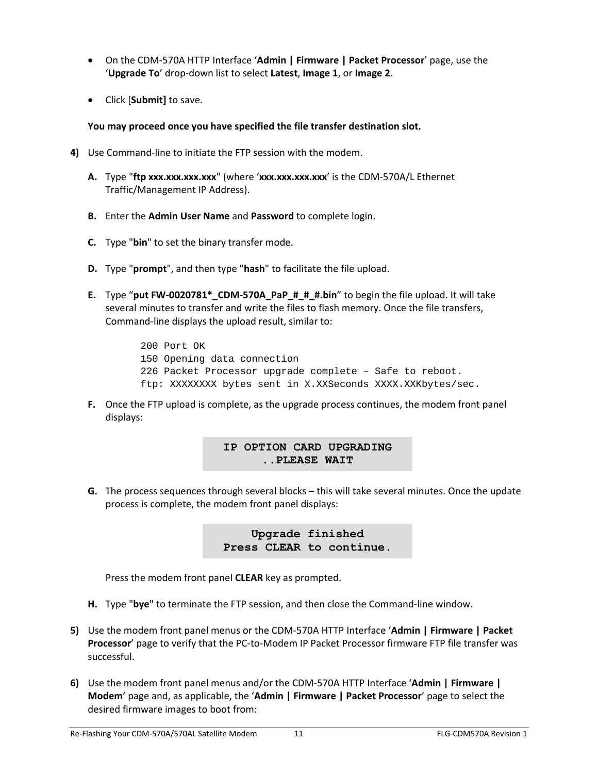- On the CDM‐570A HTTP Interface '**Admin | Firmware | Packet Processor**' page, use the '**Upgrade To**' drop‐down list to select **Latest**, **Image 1**, or **Image 2**.
- Click [**Submit]** to save.

#### **You may proceed once you have specified the file transfer destination slot.**

- **4)** Use Command‐line to initiate the FTP session with the modem.
	- **A.** Type "**ftp xxx.xxx.xxx.xxx**" (where '**xxx.xxx.xxx.xxx**' is the CDM‐570A/L Ethernet Traffic/Management IP Address).
	- **B.** Enter the **Admin User Name** and **Password** to complete login.
	- **C.** Type "**bin**" to set the binary transfer mode.
	- **D.** Type "**prompt**", and then type "**hash**" to facilitate the file upload.
	- **E.** Type "**put FW‐0020781\*\_CDM‐570A\_PaP\_#\_#\_#.bin**" to begin the file upload. It will take several minutes to transfer and write the files to flash memory. Once the file transfers, Command‐line displays the upload result, similar to:
		- 200 Port OK 150 Opening data connection 226 Packet Processor upgrade complete – Safe to reboot. ftp: XXXXXXXX bytes sent in X.XXSeconds XXXX.XXKbytes/sec.
	- **F.** Once the FTP upload is complete, as the upgrade process continues, the modem front panel displays:

### **IP OPTION CARD UPGRADING ..PLEASE WAIT**

**G.** The process sequences through several blocks – this will take several minutes. Once the update process is complete, the modem front panel displays:

> **Upgrade finished Press CLEAR to continue.**

Press the modem front panel **CLEAR** key as prompted.

- **H.** Type "**bye**" to terminate the FTP session, and then close the Command‐line window.
- **5)** Use the modem front panel menus or the CDM‐570A HTTP Interface '**Admin | Firmware | Packet Processor**' page to verify that the PC‐to‐Modem IP Packet Processor firmware FTP file transfer was successful.
- **6)** Use the modem front panel menus and/or the CDM‐570A HTTP Interface '**Admin | Firmware | Modem**' page and, as applicable, the '**Admin | Firmware | Packet Processor**' page to select the desired firmware images to boot from: